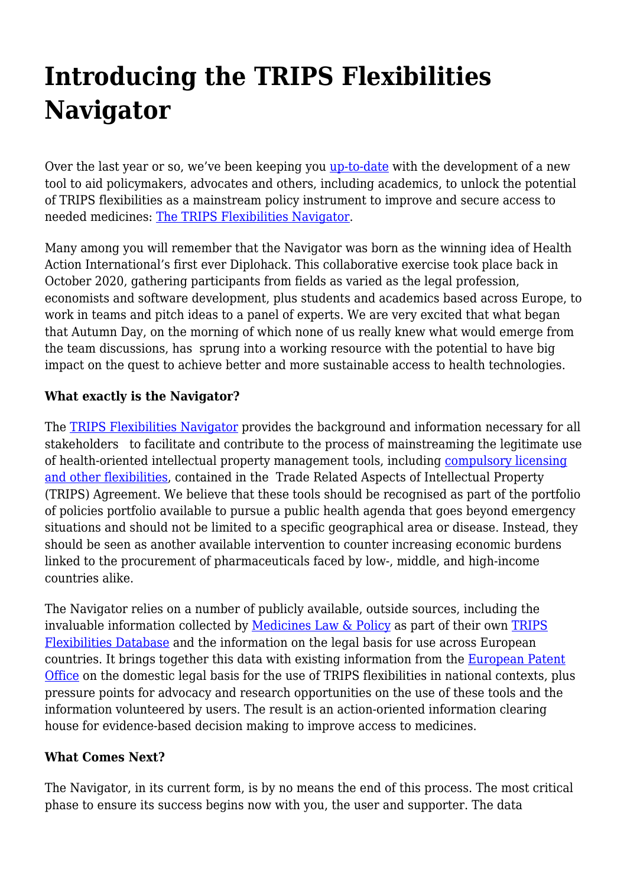## **Introducing the TRIPS Flexibilities Navigator**

Over the last year or so, we've been keeping you [up-to-date](https://haiweb.org/getting-hack-to-reality/) with the development of a new tool to aid policymakers, advocates and others, including academics, to unlock the potential of TRIPS flexibilities as a mainstream policy instrument to improve and secure access to needed medicines: [The TRIPS Flexibilities Navigator](https://www.flexibilitiesnavigator.org/).

Many among you will remember that the Navigator was born as the winning idea of Health Action International's first ever Diplohack. This collaborative exercise took place back in October 2020, gathering participants from fields as varied as the legal profession, economists and software development, plus students and academics based across Europe, to work in teams and pitch ideas to a panel of experts. We are very excited that what began that Autumn Day, on the morning of which none of us really knew what would emerge from the team discussions, has sprung into a working resource with the potential to have big impact on the quest to achieve better and more sustainable access to health technologies.

## **What exactly is the Navigator?**

The **TRIPS Flexibilities Navigator** provides the background and information necessary for all stakeholders to facilitate and contribute to the process of mainstreaming the legitimate use of health-oriented intellectual property management tools, including [compulsory licensing](https://haiweb.org/wp-content/uploads/2019/06/HAI-TRIPS-Brochure.pdf) [and other flexibilities](https://haiweb.org/wp-content/uploads/2019/06/HAI-TRIPS-Brochure.pdf), contained in the Trade Related Aspects of Intellectual Property (TRIPS) Agreement. We believe that these tools should be recognised as part of the portfolio of policies portfolio available to pursue a public health agenda that goes beyond emergency situations and should not be limited to a specific geographical area or disease. Instead, they should be seen as another available intervention to counter increasing economic burdens linked to the procurement of pharmaceuticals faced by low-, middle, and high-income countries alike.

The Navigator relies on a number of publicly available, outside sources, including the invaluable information collected by [Medicines Law & Policy](https://medicineslawandpolicy.org/) as part of their own [TRIPS](http://tripsflexibilities.medicineslawandpolicy.org/) [Flexibilities Database](http://tripsflexibilities.medicineslawandpolicy.org/) and the information on the legal basis for use across European countries. It brings together this data with existing information from the [European Patent](https://www.epo.org/) [Office](https://www.epo.org/) on the domestic legal basis for the use of TRIPS flexibilities in national contexts, plus pressure points for advocacy and research opportunities on the use of these tools and the information volunteered by users. The result is an action-oriented information clearing house for evidence-based decision making to improve access to medicines.

## **What Comes Next?**

The Navigator, in its current form, is by no means the end of this process. The most critical phase to ensure its success begins now with you, the user and supporter. The data